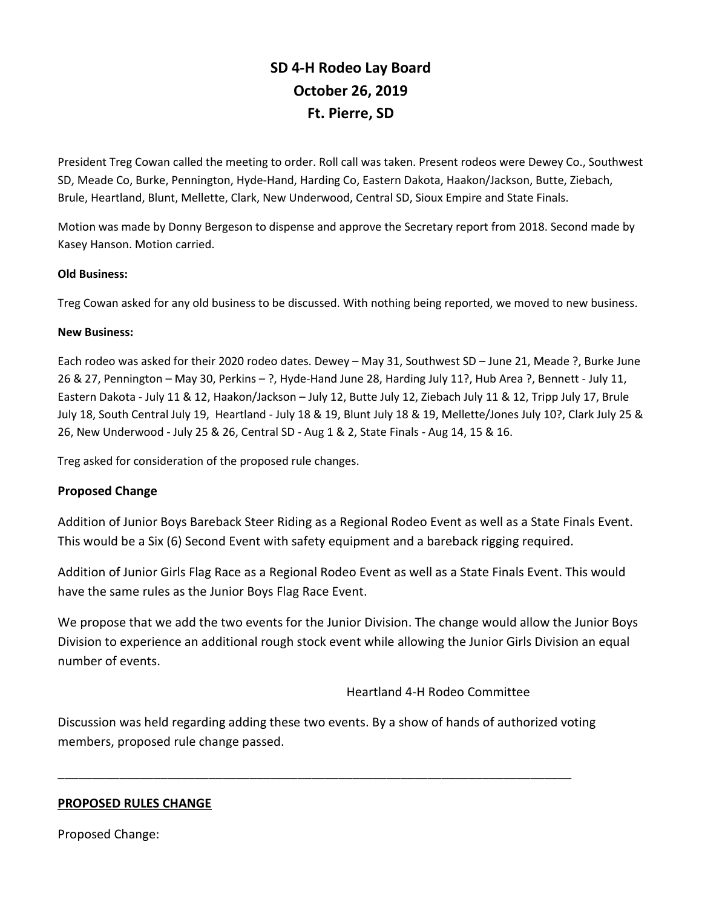# **SD 4-H Rodeo Lay Board October 26, 2019 Ft. Pierre, SD**

President Treg Cowan called the meeting to order. Roll call was taken. Present rodeos were Dewey Co., Southwest SD, Meade Co, Burke, Pennington, Hyde-Hand, Harding Co, Eastern Dakota, Haakon/Jackson, Butte, Ziebach, Brule, Heartland, Blunt, Mellette, Clark, New Underwood, Central SD, Sioux Empire and State Finals.

Motion was made by Donny Bergeson to dispense and approve the Secretary report from 2018. Second made by Kasey Hanson. Motion carried.

#### **Old Business:**

Treg Cowan asked for any old business to be discussed. With nothing being reported, we moved to new business.

## **New Business:**

Each rodeo was asked for their 2020 rodeo dates. Dewey – May 31, Southwest SD – June 21, Meade ?, Burke June 26 & 27, Pennington – May 30, Perkins – ?, Hyde-Hand June 28, Harding July 11?, Hub Area ?, Bennett - July 11, Eastern Dakota - July 11 & 12, Haakon/Jackson – July 12, Butte July 12, Ziebach July 11 & 12, Tripp July 17, Brule July 18, South Central July 19, Heartland - July 18 & 19, Blunt July 18 & 19, Mellette/Jones July 10?, Clark July 25 & 26, New Underwood - July 25 & 26, Central SD - Aug 1 & 2, State Finals - Aug 14, 15 & 16.

Treg asked for consideration of the proposed rule changes.

## **Proposed Change**

Addition of Junior Boys Bareback Steer Riding as a Regional Rodeo Event as well as a State Finals Event. This would be a Six (6) Second Event with safety equipment and a bareback rigging required.

Addition of Junior Girls Flag Race as a Regional Rodeo Event as well as a State Finals Event. This would have the same rules as the Junior Boys Flag Race Event.

We propose that we add the two events for the Junior Division. The change would allow the Junior Boys Division to experience an additional rough stock event while allowing the Junior Girls Division an equal number of events.

Heartland 4-H Rodeo Committee

Discussion was held regarding adding these two events. By a show of hands of authorized voting members, proposed rule change passed.

\_\_\_\_\_\_\_\_\_\_\_\_\_\_\_\_\_\_\_\_\_\_\_\_\_\_\_\_\_\_\_\_\_\_\_\_\_\_\_\_\_\_\_\_\_\_\_\_\_\_\_\_\_\_\_\_\_\_\_\_\_\_\_\_\_\_\_\_\_\_\_\_\_\_\_

## **PROPOSED RULES CHANGE**

Proposed Change: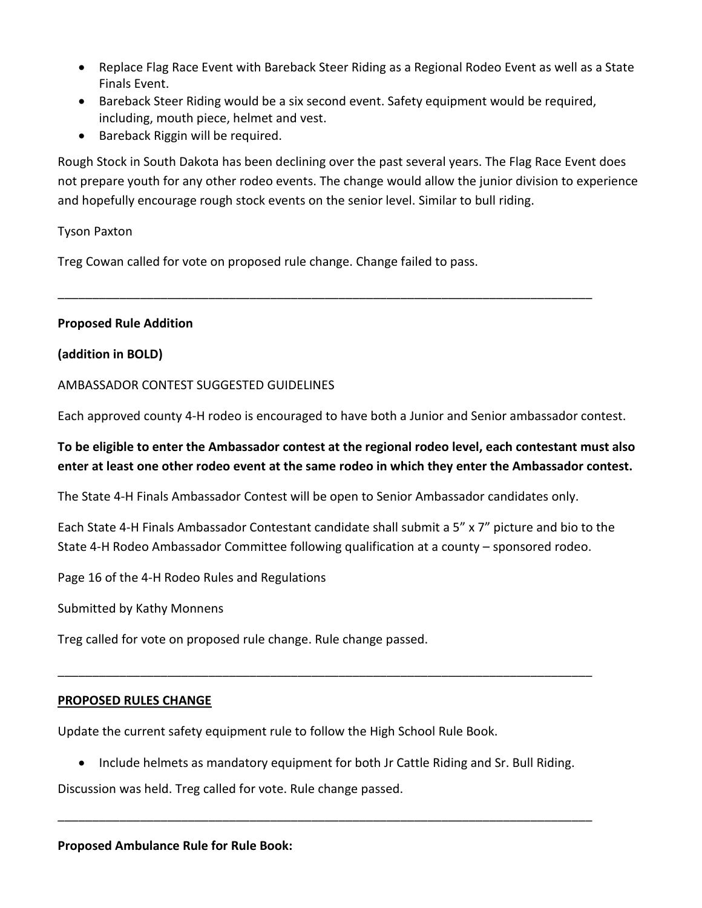- Replace Flag Race Event with Bareback Steer Riding as a Regional Rodeo Event as well as a State Finals Event.
- Bareback Steer Riding would be a six second event. Safety equipment would be required, including, mouth piece, helmet and vest.
- Bareback Riggin will be required.

Rough Stock in South Dakota has been declining over the past several years. The Flag Race Event does not prepare youth for any other rodeo events. The change would allow the junior division to experience and hopefully encourage rough stock events on the senior level. Similar to bull riding.

## Tyson Paxton

Treg Cowan called for vote on proposed rule change. Change failed to pass.

## **Proposed Rule Addition**

## **(addition in BOLD)**

## AMBASSADOR CONTEST SUGGESTED GUIDELINES

Each approved county 4-H rodeo is encouraged to have both a Junior and Senior ambassador contest.

\_\_\_\_\_\_\_\_\_\_\_\_\_\_\_\_\_\_\_\_\_\_\_\_\_\_\_\_\_\_\_\_\_\_\_\_\_\_\_\_\_\_\_\_\_\_\_\_\_\_\_\_\_\_\_\_\_\_\_\_\_\_\_\_\_\_\_\_\_\_\_\_\_\_\_\_\_\_

## **To be eligible to enter the Ambassador contest at the regional rodeo level, each contestant must also enter at least one other rodeo event at the same rodeo in which they enter the Ambassador contest.**

The State 4-H Finals Ambassador Contest will be open to Senior Ambassador candidates only.

Each State 4-H Finals Ambassador Contestant candidate shall submit a 5" x 7" picture and bio to the State 4-H Rodeo Ambassador Committee following qualification at a county – sponsored rodeo.

Page 16 of the 4-H Rodeo Rules and Regulations

Submitted by Kathy Monnens

Treg called for vote on proposed rule change. Rule change passed.

## **PROPOSED RULES CHANGE**

Update the current safety equipment rule to follow the High School Rule Book.

• Include helmets as mandatory equipment for both Jr Cattle Riding and Sr. Bull Riding.

\_\_\_\_\_\_\_\_\_\_\_\_\_\_\_\_\_\_\_\_\_\_\_\_\_\_\_\_\_\_\_\_\_\_\_\_\_\_\_\_\_\_\_\_\_\_\_\_\_\_\_\_\_\_\_\_\_\_\_\_\_\_\_\_\_\_\_\_\_\_\_\_\_\_\_\_\_\_

\_\_\_\_\_\_\_\_\_\_\_\_\_\_\_\_\_\_\_\_\_\_\_\_\_\_\_\_\_\_\_\_\_\_\_\_\_\_\_\_\_\_\_\_\_\_\_\_\_\_\_\_\_\_\_\_\_\_\_\_\_\_\_\_\_\_\_\_\_\_\_\_\_\_\_\_\_\_

Discussion was held. Treg called for vote. Rule change passed.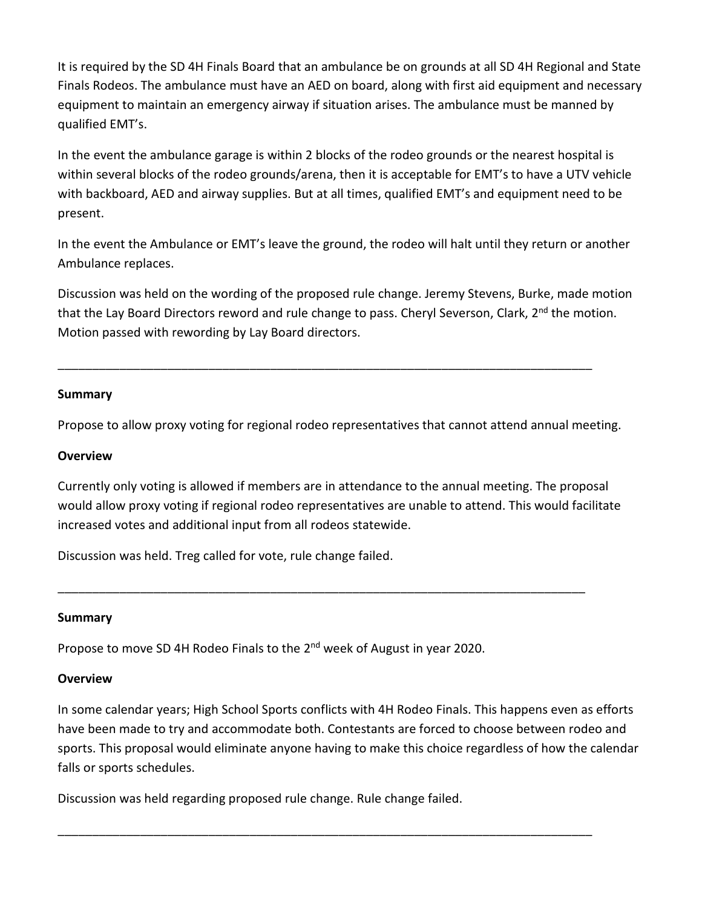It is required by the SD 4H Finals Board that an ambulance be on grounds at all SD 4H Regional and State Finals Rodeos. The ambulance must have an AED on board, along with first aid equipment and necessary equipment to maintain an emergency airway if situation arises. The ambulance must be manned by qualified EMT's.

In the event the ambulance garage is within 2 blocks of the rodeo grounds or the nearest hospital is within several blocks of the rodeo grounds/arena, then it is acceptable for EMT's to have a UTV vehicle with backboard, AED and airway supplies. But at all times, qualified EMT's and equipment need to be present.

In the event the Ambulance or EMT's leave the ground, the rodeo will halt until they return or another Ambulance replaces.

Discussion was held on the wording of the proposed rule change. Jeremy Stevens, Burke, made motion that the Lay Board Directors reword and rule change to pass. Cheryl Severson, Clark, 2<sup>nd</sup> the motion. Motion passed with rewording by Lay Board directors.

## **Summary**

Propose to allow proxy voting for regional rodeo representatives that cannot attend annual meeting.

\_\_\_\_\_\_\_\_\_\_\_\_\_\_\_\_\_\_\_\_\_\_\_\_\_\_\_\_\_\_\_\_\_\_\_\_\_\_\_\_\_\_\_\_\_\_\_\_\_\_\_\_\_\_\_\_\_\_\_\_\_\_\_\_\_\_\_\_\_\_\_\_\_\_\_\_\_\_

## **Overview**

Currently only voting is allowed if members are in attendance to the annual meeting. The proposal would allow proxy voting if regional rodeo representatives are unable to attend. This would facilitate increased votes and additional input from all rodeos statewide.

\_\_\_\_\_\_\_\_\_\_\_\_\_\_\_\_\_\_\_\_\_\_\_\_\_\_\_\_\_\_\_\_\_\_\_\_\_\_\_\_\_\_\_\_\_\_\_\_\_\_\_\_\_\_\_\_\_\_\_\_\_\_\_\_\_\_\_\_\_\_\_\_\_\_\_\_\_

Discussion was held. Treg called for vote, rule change failed.

## **Summary**

Propose to move SD 4H Rodeo Finals to the 2<sup>nd</sup> week of August in year 2020.

## **Overview**

In some calendar years; High School Sports conflicts with 4H Rodeo Finals. This happens even as efforts have been made to try and accommodate both. Contestants are forced to choose between rodeo and sports. This proposal would eliminate anyone having to make this choice regardless of how the calendar falls or sports schedules.

\_\_\_\_\_\_\_\_\_\_\_\_\_\_\_\_\_\_\_\_\_\_\_\_\_\_\_\_\_\_\_\_\_\_\_\_\_\_\_\_\_\_\_\_\_\_\_\_\_\_\_\_\_\_\_\_\_\_\_\_\_\_\_\_\_\_\_\_\_\_\_\_\_\_\_\_\_\_

Discussion was held regarding proposed rule change. Rule change failed.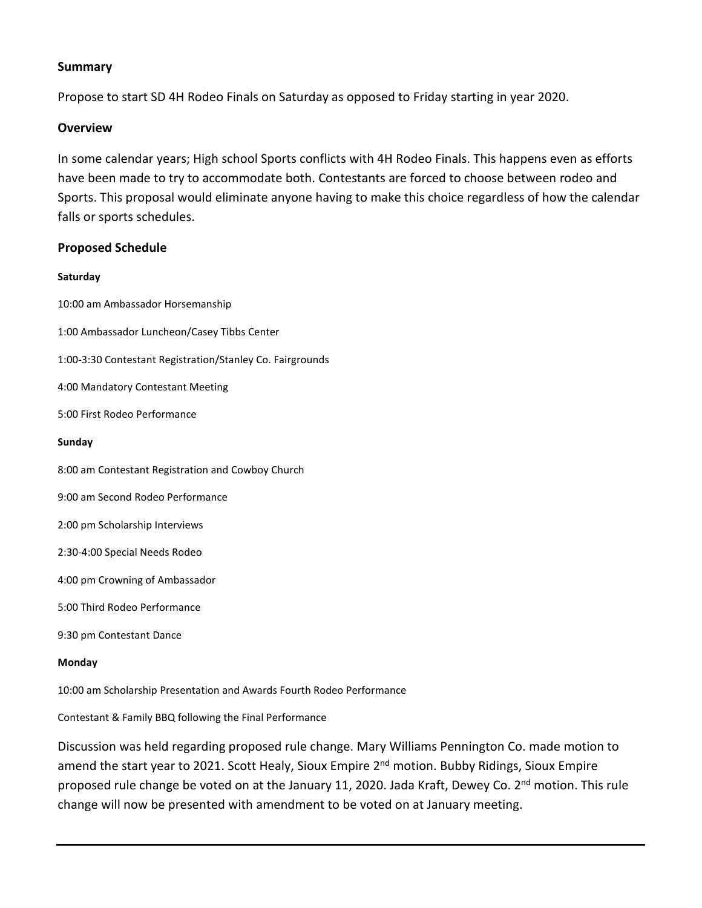#### **Summary**

Propose to start SD 4H Rodeo Finals on Saturday as opposed to Friday starting in year 2020.

#### **Overview**

In some calendar years; High school Sports conflicts with 4H Rodeo Finals. This happens even as efforts have been made to try to accommodate both. Contestants are forced to choose between rodeo and Sports. This proposal would eliminate anyone having to make this choice regardless of how the calendar falls or sports schedules.

#### **Proposed Schedule**

#### **Saturday**

10:00 am Ambassador Horsemanship 1:00 Ambassador Luncheon/Casey Tibbs Center 1:00-3:30 Contestant Registration/Stanley Co. Fairgrounds 4:00 Mandatory Contestant Meeting 5:00 First Rodeo Performance **Sunday** 8:00 am Contestant Registration and Cowboy Church 9:00 am Second Rodeo Performance 2:00 pm Scholarship Interviews 2:30-4:00 Special Needs Rodeo 4:00 pm Crowning of Ambassador 5:00 Third Rodeo Performance 9:30 pm Contestant Dance **Monday**

10:00 am Scholarship Presentation and Awards Fourth Rodeo Performance

Contestant & Family BBQ following the Final Performance

Discussion was held regarding proposed rule change. Mary Williams Pennington Co. made motion to amend the start year to 2021. Scott Healy, Sioux Empire 2<sup>nd</sup> motion. Bubby Ridings, Sioux Empire proposed rule change be voted on at the January 11, 2020. Jada Kraft, Dewey Co. 2<sup>nd</sup> motion. This rule change will now be presented with amendment to be voted on at January meeting.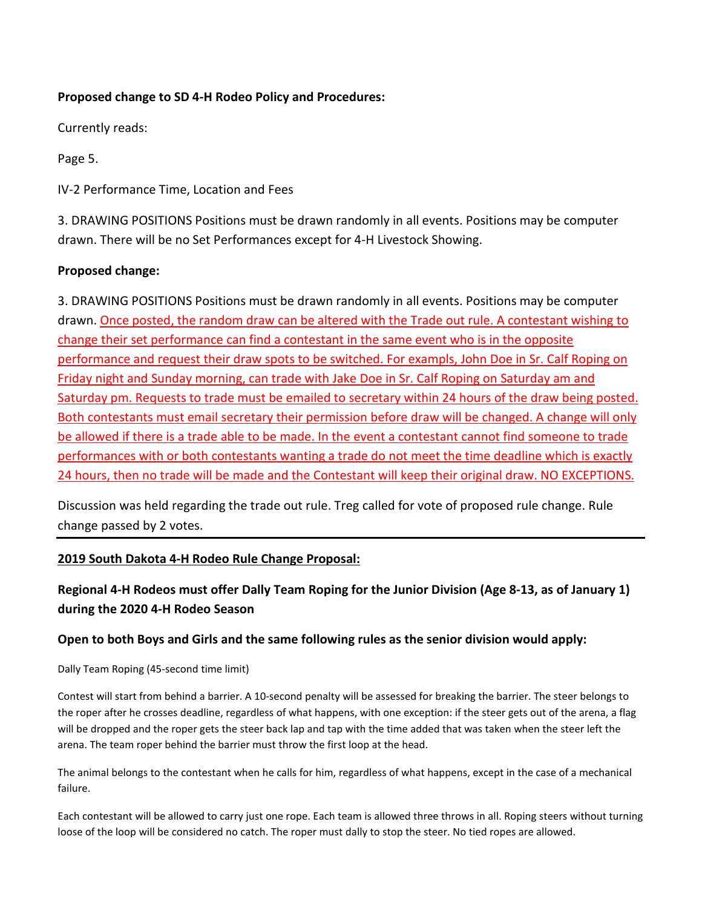## **Proposed change to SD 4-H Rodeo Policy and Procedures:**

Currently reads:

Page 5.

IV-2 Performance Time, Location and Fees

3. DRAWING POSITIONS Positions must be drawn randomly in all events. Positions may be computer drawn. There will be no Set Performances except for 4-H Livestock Showing.

## **Proposed change:**

3. DRAWING POSITIONS Positions must be drawn randomly in all events. Positions may be computer drawn. Once posted, the random draw can be altered with the Trade out rule. A contestant wishing to change their set performance can find a contestant in the same event who is in the opposite performance and request their draw spots to be switched. For exampls, John Doe in Sr. Calf Roping on Friday night and Sunday morning, can trade with Jake Doe in Sr. Calf Roping on Saturday am and Saturday pm. Requests to trade must be emailed to secretary within 24 hours of the draw being posted. Both contestants must email secretary their permission before draw will be changed. A change will only be allowed if there is a trade able to be made. In the event a contestant cannot find someone to trade performances with or both contestants wanting a trade do not meet the time deadline which is exactly 24 hours, then no trade will be made and the Contestant will keep their original draw. NO EXCEPTIONS.

Discussion was held regarding the trade out rule. Treg called for vote of proposed rule change. Rule change passed by 2 votes.

## **2019 South Dakota 4-H Rodeo Rule Change Proposal:**

## **Regional 4-H Rodeos must offer Dally Team Roping for the Junior Division (Age 8-13, as of January 1) during the 2020 4-H Rodeo Season**

## **Open to both Boys and Girls and the same following rules as the senior division would apply:**

Dally Team Roping (45-second time limit)

Contest will start from behind a barrier. A 10-second penalty will be assessed for breaking the barrier. The steer belongs to the roper after he crosses deadline, regardless of what happens, with one exception: if the steer gets out of the arena, a flag will be dropped and the roper gets the steer back lap and tap with the time added that was taken when the steer left the arena. The team roper behind the barrier must throw the first loop at the head.

The animal belongs to the contestant when he calls for him, regardless of what happens, except in the case of a mechanical failure.

Each contestant will be allowed to carry just one rope. Each team is allowed three throws in all. Roping steers without turning loose of the loop will be considered no catch. The roper must dally to stop the steer. No tied ropes are allowed.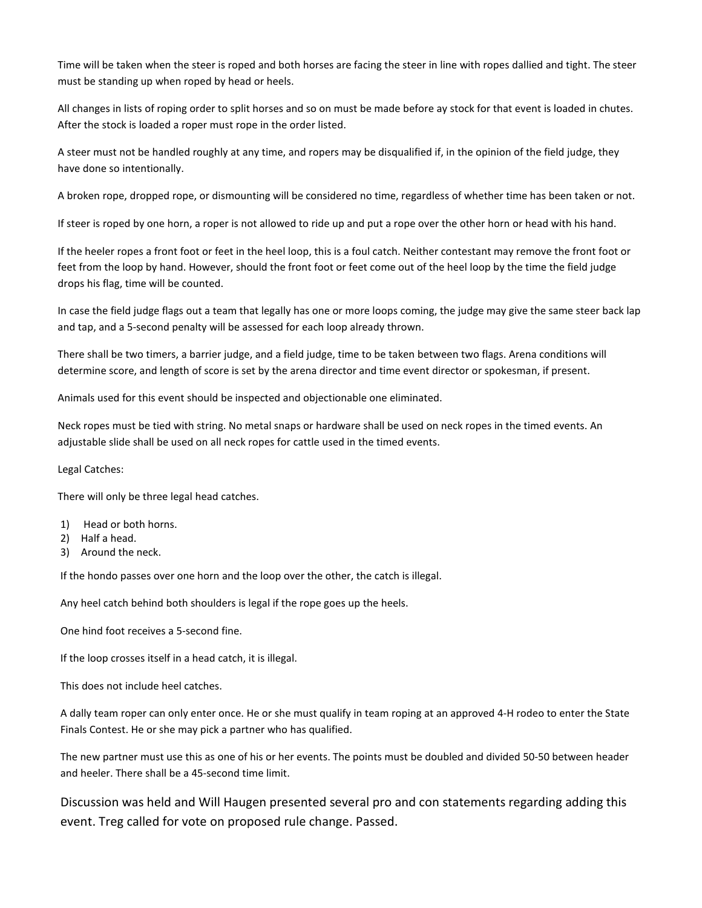Time will be taken when the steer is roped and both horses are facing the steer in line with ropes dallied and tight. The steer must be standing up when roped by head or heels.

All changes in lists of roping order to split horses and so on must be made before ay stock for that event is loaded in chutes. After the stock is loaded a roper must rope in the order listed.

A steer must not be handled roughly at any time, and ropers may be disqualified if, in the opinion of the field judge, they have done so intentionally.

A broken rope, dropped rope, or dismounting will be considered no time, regardless of whether time has been taken or not.

If steer is roped by one horn, a roper is not allowed to ride up and put a rope over the other horn or head with his hand.

If the heeler ropes a front foot or feet in the heel loop, this is a foul catch. Neither contestant may remove the front foot or feet from the loop by hand. However, should the front foot or feet come out of the heel loop by the time the field judge drops his flag, time will be counted.

In case the field judge flags out a team that legally has one or more loops coming, the judge may give the same steer back lap and tap, and a 5-second penalty will be assessed for each loop already thrown.

There shall be two timers, a barrier judge, and a field judge, time to be taken between two flags. Arena conditions will determine score, and length of score is set by the arena director and time event director or spokesman, if present.

Animals used for this event should be inspected and objectionable one eliminated.

Neck ropes must be tied with string. No metal snaps or hardware shall be used on neck ropes in the timed events. An adjustable slide shall be used on all neck ropes for cattle used in the timed events.

#### Legal Catches:

There will only be three legal head catches.

- 1) Head or both horns.
- 2) Half a head.
- 3) Around the neck.

If the hondo passes over one horn and the loop over the other, the catch is illegal.

Any heel catch behind both shoulders is legal if the rope goes up the heels.

One hind foot receives a 5-second fine.

If the loop crosses itself in a head catch, it is illegal.

This does not include heel catches.

A dally team roper can only enter once. He or she must qualify in team roping at an approved 4-H rodeo to enter the State Finals Contest. He or she may pick a partner who has qualified.

The new partner must use this as one of his or her events. The points must be doubled and divided 50-50 between header and heeler. There shall be a 45-second time limit.

Discussion was held and Will Haugen presented several pro and con statements regarding adding this event. Treg called for vote on proposed rule change. Passed.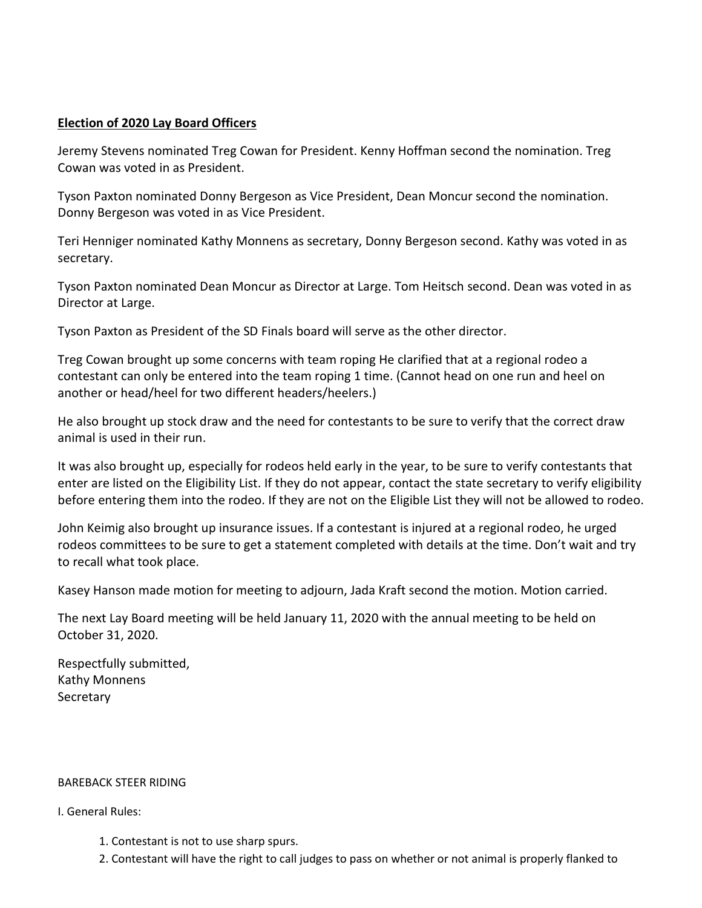## **Election of 2020 Lay Board Officers**

Jeremy Stevens nominated Treg Cowan for President. Kenny Hoffman second the nomination. Treg Cowan was voted in as President.

Tyson Paxton nominated Donny Bergeson as Vice President, Dean Moncur second the nomination. Donny Bergeson was voted in as Vice President.

Teri Henniger nominated Kathy Monnens as secretary, Donny Bergeson second. Kathy was voted in as secretary.

Tyson Paxton nominated Dean Moncur as Director at Large. Tom Heitsch second. Dean was voted in as Director at Large.

Tyson Paxton as President of the SD Finals board will serve as the other director.

Treg Cowan brought up some concerns with team roping He clarified that at a regional rodeo a contestant can only be entered into the team roping 1 time. (Cannot head on one run and heel on another or head/heel for two different headers/heelers.)

He also brought up stock draw and the need for contestants to be sure to verify that the correct draw animal is used in their run.

It was also brought up, especially for rodeos held early in the year, to be sure to verify contestants that enter are listed on the Eligibility List. If they do not appear, contact the state secretary to verify eligibility before entering them into the rodeo. If they are not on the Eligible List they will not be allowed to rodeo.

John Keimig also brought up insurance issues. If a contestant is injured at a regional rodeo, he urged rodeos committees to be sure to get a statement completed with details at the time. Don't wait and try to recall what took place.

Kasey Hanson made motion for meeting to adjourn, Jada Kraft second the motion. Motion carried.

The next Lay Board meeting will be held January 11, 2020 with the annual meeting to be held on October 31, 2020.

Respectfully submitted, Kathy Monnens **Secretary** 

#### BAREBACK STEER RIDING

#### I. General Rules:

- 1. Contestant is not to use sharp spurs.
- 2. Contestant will have the right to call judges to pass on whether or not animal is properly flanked to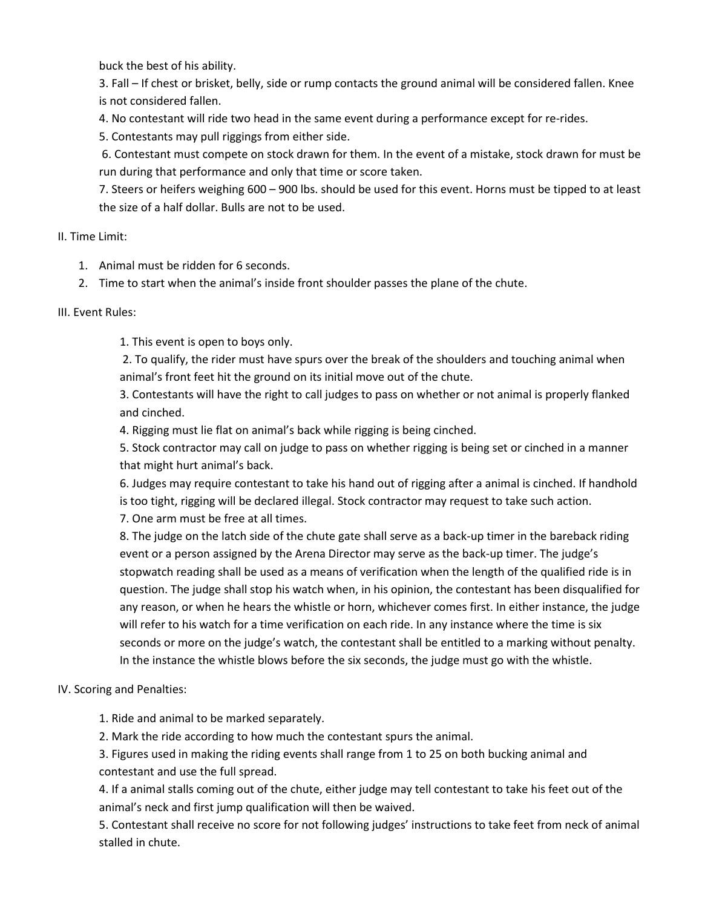buck the best of his ability.

3. Fall – If chest or brisket, belly, side or rump contacts the ground animal will be considered fallen. Knee is not considered fallen.

4. No contestant will ride two head in the same event during a performance except for re-rides.

5. Contestants may pull riggings from either side.

6. Contestant must compete on stock drawn for them. In the event of a mistake, stock drawn for must be run during that performance and only that time or score taken.

7. Steers or heifers weighing 600 – 900 lbs. should be used for this event. Horns must be tipped to at least the size of a half dollar. Bulls are not to be used.

II. Time Limit:

- 1. Animal must be ridden for 6 seconds.
- 2. Time to start when the animal's inside front shoulder passes the plane of the chute.

III. Event Rules:

1. This event is open to boys only.

2. To qualify, the rider must have spurs over the break of the shoulders and touching animal when animal's front feet hit the ground on its initial move out of the chute.

3. Contestants will have the right to call judges to pass on whether or not animal is properly flanked and cinched.

4. Rigging must lie flat on animal's back while rigging is being cinched.

5. Stock contractor may call on judge to pass on whether rigging is being set or cinched in a manner that might hurt animal's back.

6. Judges may require contestant to take his hand out of rigging after a animal is cinched. If handhold is too tight, rigging will be declared illegal. Stock contractor may request to take such action.

7. One arm must be free at all times.

8. The judge on the latch side of the chute gate shall serve as a back-up timer in the bareback riding event or a person assigned by the Arena Director may serve as the back-up timer. The judge's stopwatch reading shall be used as a means of verification when the length of the qualified ride is in question. The judge shall stop his watch when, in his opinion, the contestant has been disqualified for any reason, or when he hears the whistle or horn, whichever comes first. In either instance, the judge will refer to his watch for a time verification on each ride. In any instance where the time is six seconds or more on the judge's watch, the contestant shall be entitled to a marking without penalty. In the instance the whistle blows before the six seconds, the judge must go with the whistle.

## IV. Scoring and Penalties:

1. Ride and animal to be marked separately.

2. Mark the ride according to how much the contestant spurs the animal.

3. Figures used in making the riding events shall range from 1 to 25 on both bucking animal and contestant and use the full spread.

4. If a animal stalls coming out of the chute, either judge may tell contestant to take his feet out of the animal's neck and first jump qualification will then be waived.

5. Contestant shall receive no score for not following judges' instructions to take feet from neck of animal stalled in chute.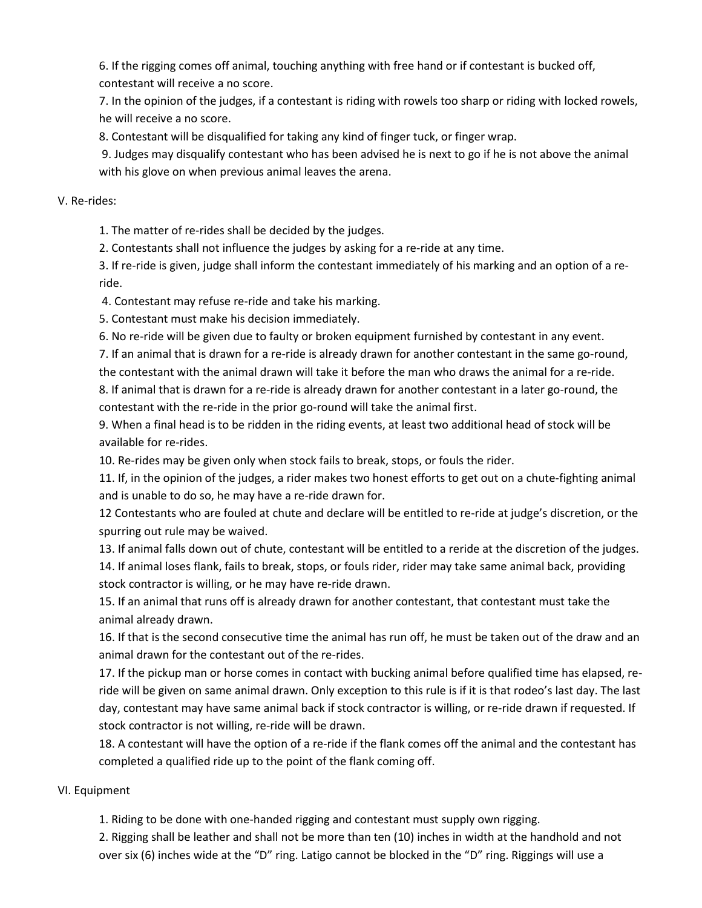6. If the rigging comes off animal, touching anything with free hand or if contestant is bucked off, contestant will receive a no score.

7. In the opinion of the judges, if a contestant is riding with rowels too sharp or riding with locked rowels, he will receive a no score.

8. Contestant will be disqualified for taking any kind of finger tuck, or finger wrap.

9. Judges may disqualify contestant who has been advised he is next to go if he is not above the animal with his glove on when previous animal leaves the arena.

### V. Re-rides:

1. The matter of re-rides shall be decided by the judges.

2. Contestants shall not influence the judges by asking for a re-ride at any time.

3. If re-ride is given, judge shall inform the contestant immediately of his marking and an option of a reride.

4. Contestant may refuse re-ride and take his marking.

5. Contestant must make his decision immediately.

6. No re-ride will be given due to faulty or broken equipment furnished by contestant in any event.

7. If an animal that is drawn for a re-ride is already drawn for another contestant in the same go-round, the contestant with the animal drawn will take it before the man who draws the animal for a re-ride.

8. If animal that is drawn for a re-ride is already drawn for another contestant in a later go-round, the contestant with the re-ride in the prior go-round will take the animal first.

9. When a final head is to be ridden in the riding events, at least two additional head of stock will be available for re-rides.

10. Re-rides may be given only when stock fails to break, stops, or fouls the rider.

11. If, in the opinion of the judges, a rider makes two honest efforts to get out on a chute-fighting animal and is unable to do so, he may have a re-ride drawn for.

12 Contestants who are fouled at chute and declare will be entitled to re-ride at judge's discretion, or the spurring out rule may be waived.

13. If animal falls down out of chute, contestant will be entitled to a reride at the discretion of the judges.

14. If animal loses flank, fails to break, stops, or fouls rider, rider may take same animal back, providing stock contractor is willing, or he may have re-ride drawn.

15. If an animal that runs off is already drawn for another contestant, that contestant must take the animal already drawn.

16. If that is the second consecutive time the animal has run off, he must be taken out of the draw and an animal drawn for the contestant out of the re-rides.

17. If the pickup man or horse comes in contact with bucking animal before qualified time has elapsed, reride will be given on same animal drawn. Only exception to this rule is if it is that rodeo's last day. The last day, contestant may have same animal back if stock contractor is willing, or re-ride drawn if requested. If stock contractor is not willing, re-ride will be drawn.

18. A contestant will have the option of a re-ride if the flank comes off the animal and the contestant has completed a qualified ride up to the point of the flank coming off.

## VI. Equipment

1. Riding to be done with one-handed rigging and contestant must supply own rigging.

2. Rigging shall be leather and shall not be more than ten (10) inches in width at the handhold and not over six (6) inches wide at the "D" ring. Latigo cannot be blocked in the "D" ring. Riggings will use a